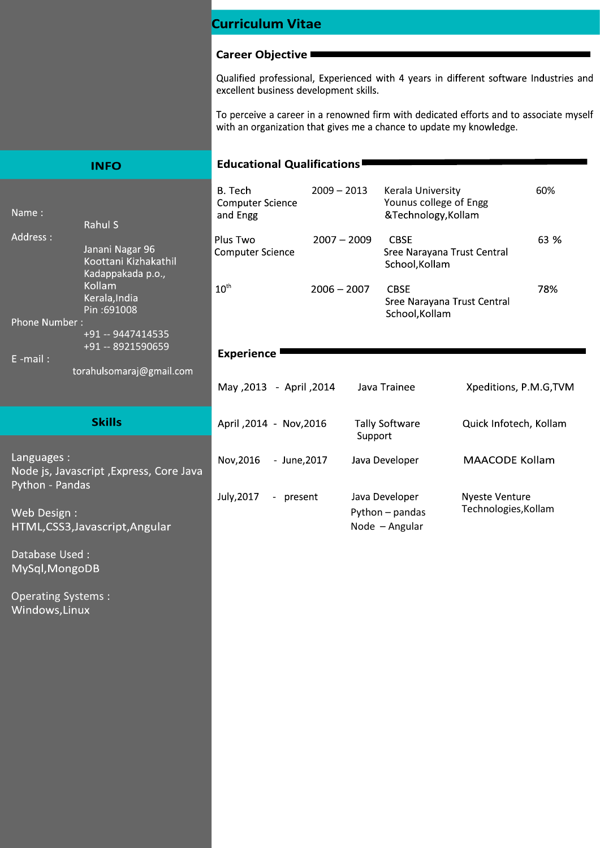## **Curriculum Vitae**

#### **Career Objective**

Qualified professional, Experienced with 4 years in different software Industries and excellent business development skills.

To perceive a career in a renowned firm with dedicated efforts and to associate myself with an organization that gives me a chance to update my knowledge.

### **Educational Qualifications■**

| Name:                                           | Rahul S                                                      | B. Tech<br><b>Computer Science</b><br>and Engg | $2009 - 2013$ | Kerala University<br>Younus college of Engg<br>&Technology, Kollam |                        | 60%  |
|-------------------------------------------------|--------------------------------------------------------------|------------------------------------------------|---------------|--------------------------------------------------------------------|------------------------|------|
| Address:                                        | Janani Nagar 96<br>Koottani Kizhakathil<br>Kadappakada p.o., | Plus Two<br><b>Computer Science</b>            | $2007 - 2009$ | <b>CBSE</b><br>Sree Narayana Trust Central<br>School, Kollam       |                        | 63 % |
|                                                 | Kollam<br>Kerala, India<br>Pin:691008                        | $10^{\text{th}}$                               | $2006 - 2007$ | <b>CBSE</b><br>Sree Narayana Trust Central<br>School, Kollam       |                        | 78%  |
| Phone Number:                                   | +91 -- 9447414535<br>+91 -- 8921590659                       | <b>Experience</b>                              |               |                                                                    |                        |      |
| $E$ -mail:                                      |                                                              |                                                |               |                                                                    |                        |      |
|                                                 | torahulsomaraj@gmail.com                                     | April ,2014 - 2013, May                        |               | Java Trainee                                                       | Xpeditions, P.M.G, TVM |      |
|                                                 | <b>Skills</b>                                                | April , 2014 - Nov, 2016                       | Support       | <b>Tally Software</b>                                              | Quick Infotech, Kollam |      |
| Languages:<br>Python - Pandas                   | Node js, Javascript, Express, Core Java                      | Nov, 2016<br>- June, 2017                      |               | Java Developer                                                     | <b>MAACODE Kollam</b>  |      |
|                                                 |                                                              | July, 2017<br>- present                        |               | Java Developer                                                     | <b>Nyeste Venture</b>  |      |
| Web Design :<br>HTML, CSS3, Javascript, Angular |                                                              |                                                |               | Python - pandas<br>Node - Angular                                  | Technologies, Kollam   |      |

Database Used: MySql, MongoDB

**INFO** 

HTML,CS

**Operating Systems:** Windows, Linux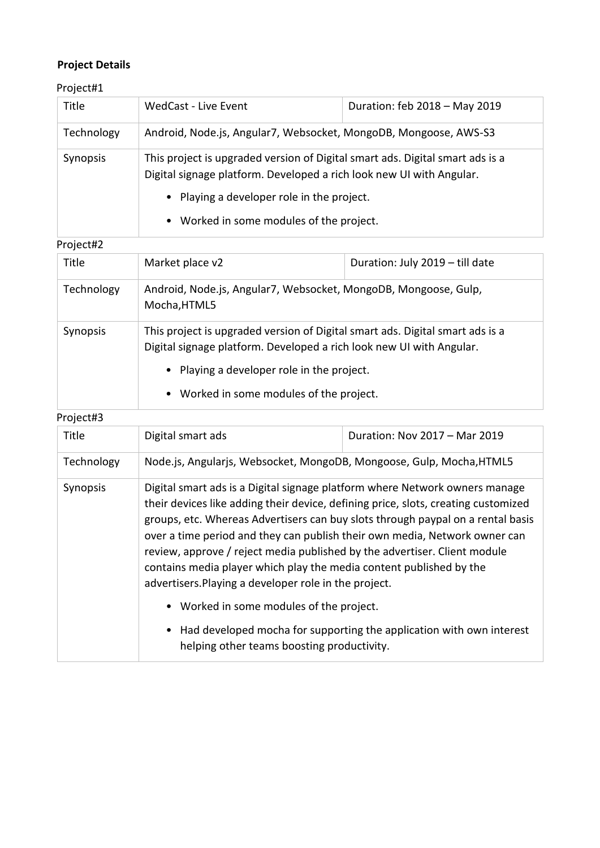# **Project Details**

Project#1

| Title           | <b>WedCast - Live Event</b>                                                                                                                           | Duration: feb 2018 - May 2019 |  |
|-----------------|-------------------------------------------------------------------------------------------------------------------------------------------------------|-------------------------------|--|
| Technology      | Android, Node.js, Angular7, Websocket, MongoDB, Mongoose, AWS-S3                                                                                      |                               |  |
| <b>Synopsis</b> | This project is upgraded version of Digital smart ads. Digital smart ads is a<br>Digital signage platform. Developed a rich look new UI with Angular. |                               |  |
|                 | • Playing a developer role in the project.                                                                                                            |                               |  |
|                 | • Worked in some modules of the project.                                                                                                              |                               |  |

## Project#2

| Title                                    | Market place v2                                                                                                                                       | Duration: July 2019 - till date |  |
|------------------------------------------|-------------------------------------------------------------------------------------------------------------------------------------------------------|---------------------------------|--|
| Technology                               | Android, Node.js, Angular7, Websocket, MongoDB, Mongoose, Gulp,<br>Mocha, HTML5                                                                       |                                 |  |
| Synopsis                                 | This project is upgraded version of Digital smart ads. Digital smart ads is a<br>Digital signage platform. Developed a rich look new UI with Angular. |                                 |  |
|                                          | • Playing a developer role in the project.                                                                                                            |                                 |  |
| • Worked in some modules of the project. |                                                                                                                                                       |                                 |  |

### Project#3

| Title      | Digital smart ads                                                                                                                                                                                                                                                                                                                                                                                                                                                                                                                               | Duration: Nov 2017 - Mar 2019 |  |  |
|------------|-------------------------------------------------------------------------------------------------------------------------------------------------------------------------------------------------------------------------------------------------------------------------------------------------------------------------------------------------------------------------------------------------------------------------------------------------------------------------------------------------------------------------------------------------|-------------------------------|--|--|
| Technology | Node.js, Angularjs, Websocket, MongoDB, Mongoose, Gulp, Mocha, HTML5                                                                                                                                                                                                                                                                                                                                                                                                                                                                            |                               |  |  |
| Synopsis   | Digital smart ads is a Digital signage platform where Network owners manage<br>their devices like adding their device, defining price, slots, creating customized<br>groups, etc. Whereas Advertisers can buy slots through paypal on a rental basis<br>over a time period and they can publish their own media, Network owner can<br>review, approve / reject media published by the advertiser. Client module<br>contains media player which play the media content published by the<br>advertisers. Playing a developer role in the project. |                               |  |  |
|            | • Worked in some modules of the project.                                                                                                                                                                                                                                                                                                                                                                                                                                                                                                        |                               |  |  |
|            | • Had developed mocha for supporting the application with own interest<br>helping other teams boosting productivity.                                                                                                                                                                                                                                                                                                                                                                                                                            |                               |  |  |